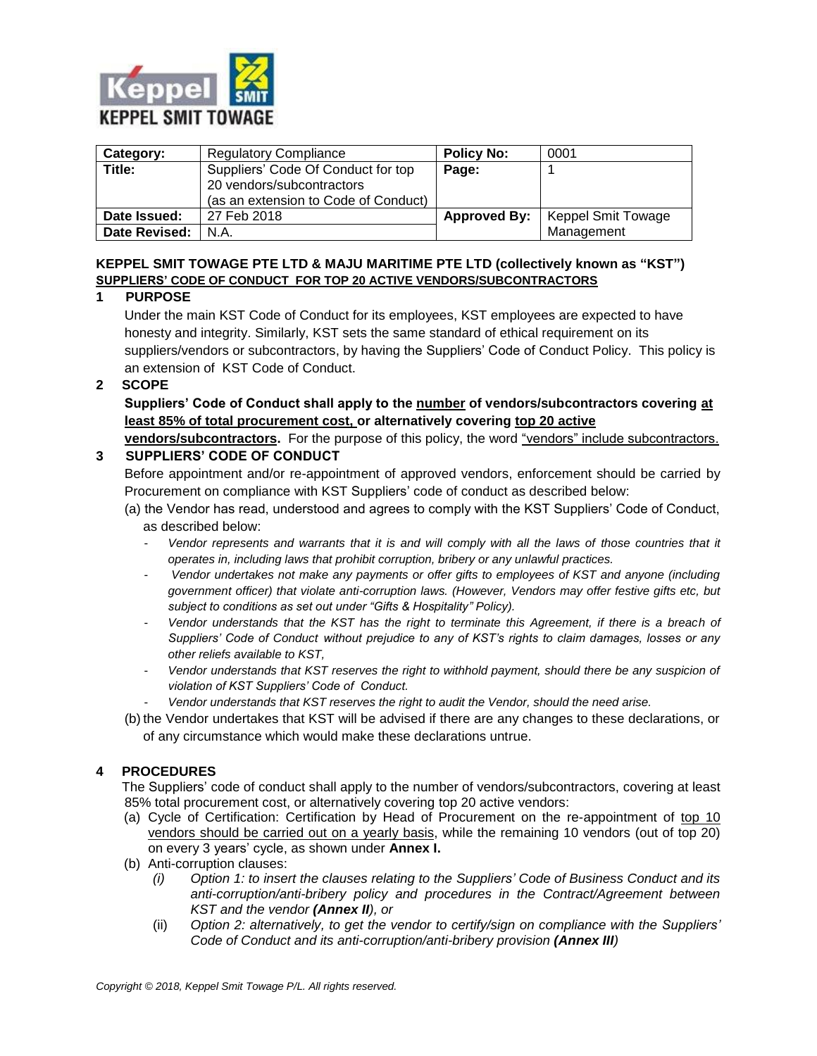

| Category:     | <b>Regulatory Compliance</b>         | <b>Policy No:</b> | 0001                      |
|---------------|--------------------------------------|-------------------|---------------------------|
| Title:        | Suppliers' Code Of Conduct for top   | Page:             |                           |
|               | 20 vendors/subcontractors            |                   |                           |
|               | (as an extension to Code of Conduct) |                   |                           |
| Date Issued:  | 27 Feb 2018                          | Approved By:      | <b>Keppel Smit Towage</b> |
| Date Revised: | N.A.                                 |                   | Management                |

# **KEPPEL SMIT TOWAGE PTE LTD & MAJU MARITIME PTE LTD (collectively known as "KST") SUPPLIERS' CODE OF CONDUCT FOR TOP 20 ACTIVE VENDORS/SUBCONTRACTORS**

## **1 PURPOSE**

Under the main KST Code of Conduct for its employees, KST employees are expected to have honesty and integrity. Similarly, KST sets the same standard of ethical requirement on its suppliers/vendors or subcontractors, by having the Suppliers' Code of Conduct Policy. This policy is an extension of KST Code of Conduct.

## **2 SCOPE**

**Suppliers' Code of Conduct shall apply to the number of vendors/subcontractors covering at least 85% of total procurement cost, or alternatively covering top 20 active** 

**vendors/subcontractors.** For the purpose of this policy, the word "vendors" include subcontractors. **3 SUPPLIERS' CODE OF CONDUCT**

Before appointment and/or re-appointment of approved vendors, enforcement should be carried by Procurement on compliance with KST Suppliers' code of conduct as described below:

- (a) the Vendor has read, understood and agrees to comply with the KST Suppliers' Code of Conduct, as described below:
	- Vendor represents and warrants that it is and will comply with all the laws of those countries that it *operates in, including laws that prohibit corruption, bribery or any unlawful practices.*
	- *Vendor undertakes not make any payments or offer gifts to employees of KST and anyone (including government officer) that violate anti-corruption laws. (However, Vendors may offer festive gifts etc, but subject to conditions as set out under "Gifts & Hospitality" Policy).*
	- *Vendor understands that the KST has the right to terminate this Agreement, if there is a breach of Suppliers' Code of Conduct without prejudice to any of KST's rights to claim damages, losses or any other reliefs available to KST,*
	- *Vendor understands that KST reserves the right to withhold payment, should there be any suspicion of violation of KST Suppliers' Code of Conduct.*
	- *Vendor understands that KST reserves the right to audit the Vendor, should the need arise.*
- (b) the Vendor undertakes that KST will be advised if there are any changes to these declarations, or of any circumstance which would make these declarations untrue.

## **4 PROCEDURES**

 The Suppliers' code of conduct shall apply to the number of vendors/subcontractors, covering at least 85% total procurement cost, or alternatively covering top 20 active vendors:

- (a) Cycle of Certification: Certification by Head of Procurement on the re-appointment of top 10 vendors should be carried out on a yearly basis, while the remaining 10 vendors (out of top 20) on every 3 years' cycle, as shown under **Annex I.**
- (b) Anti-corruption clauses:
	- *(i) Option 1: to insert the clauses relating to the Suppliers' Code of Business Conduct and its anti-corruption/anti-bribery policy and procedures in the Contract/Agreement between KST and the vendor (Annex II), or*
	- (ii) *Option 2: alternatively, to get the vendor to certify/sign on compliance with the Suppliers' Code of Conduct and its anti-corruption/anti-bribery provision (Annex III)*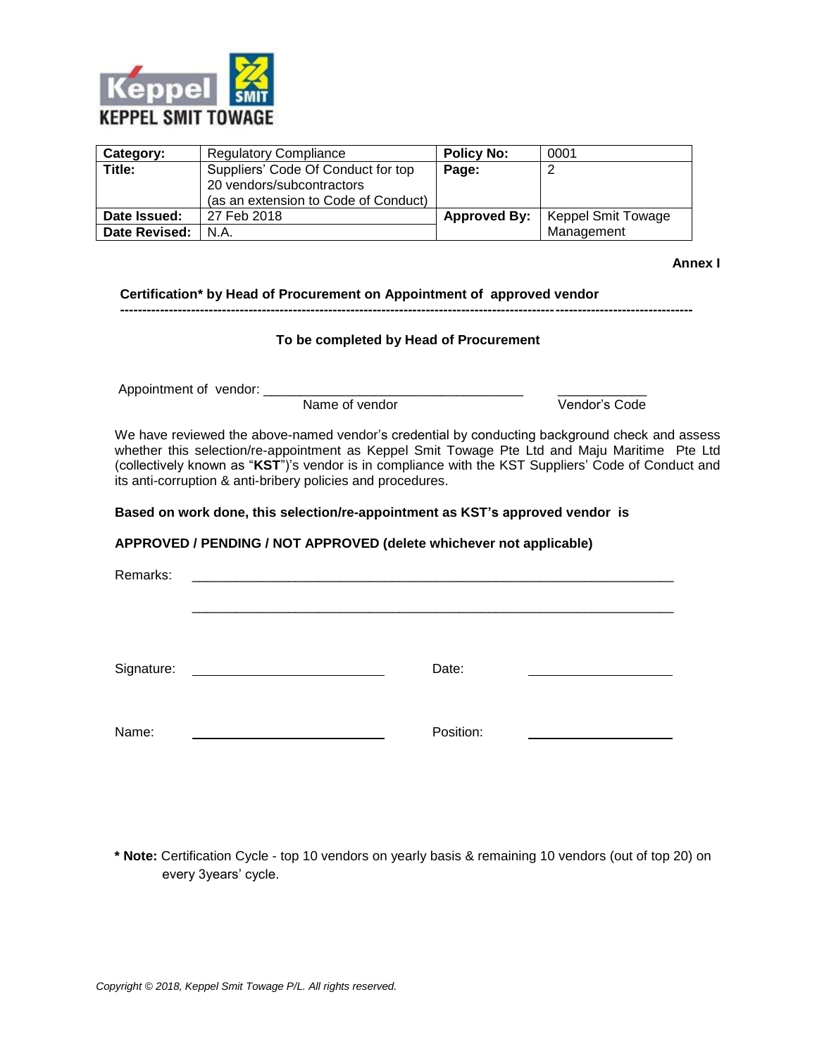

| Category:     | <b>Regulatory Compliance</b>                                                                            | <b>Policy No:</b> | 0001                                     |
|---------------|---------------------------------------------------------------------------------------------------------|-------------------|------------------------------------------|
| Title:        | Suppliers' Code Of Conduct for top<br>20 vendors/subcontractors<br>(as an extension to Code of Conduct) | Page:             |                                          |
| Date Issued:  | 27 Feb 2018                                                                                             |                   | <b>Approved By:</b>   Keppel Smit Towage |
| Date Revised: | N.A.                                                                                                    |                   | Management                               |

**Annex I**

**Certification\* by Head of Procurement on Appointment of approved vendor**

**To be completed by Head of Procurement**

**---------------------------------------------------------------------------------------------------------------------------------**

Appointment of vendor: \_\_\_\_\_\_\_\_\_\_\_\_\_\_\_\_\_\_\_\_\_\_\_\_\_\_\_\_\_\_\_\_\_\_\_ \_\_\_\_\_\_\_\_\_\_\_\_

Name of vendor

We have reviewed the above-named vendor's credential by conducting background check and assess whether this selection/re-appointment as Keppel Smit Towage Pte Ltd and Maju Maritime Pte Ltd (collectively known as "**KST**")'s vendor is in compliance with the KST Suppliers' Code of Conduct and its anti-corruption & anti-bribery policies and procedures.

#### **Based on work done, this selection/re-appointment as KST's approved vendor is**

## **APPROVED / PENDING / NOT APPROVED (delete whichever not applicable)**

| Remarks:                                                                                                                                                                                                                                           |           |
|----------------------------------------------------------------------------------------------------------------------------------------------------------------------------------------------------------------------------------------------------|-----------|
| Signature:<br><u>and the community of the community of the community of the community of the community of the community of the community of the community of the community of the community of the community of the community of the community</u> | Date:     |
| Name:                                                                                                                                                                                                                                              | Position: |

 **\* Note:** Certification Cycle - top 10 vendors on yearly basis & remaining 10 vendors (out of top 20) on every 3years' cycle.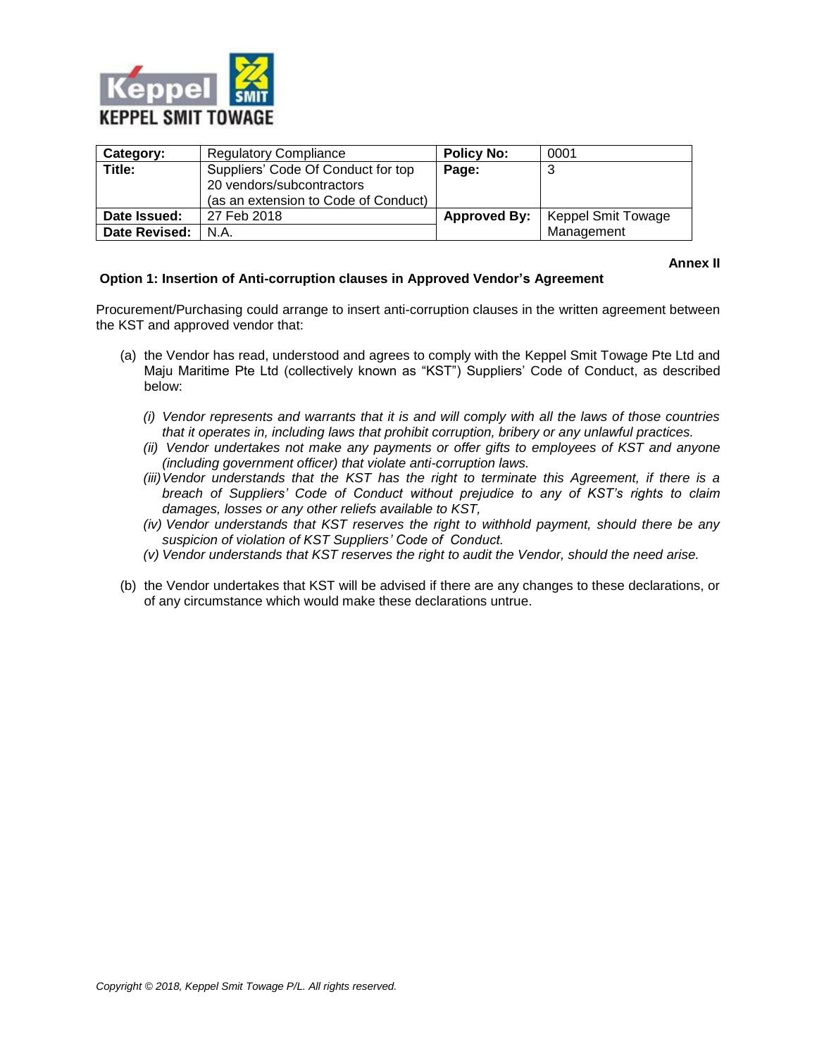

| Category:     | <b>Regulatory Compliance</b>         | <b>Policy No:</b>   | 0001                      |
|---------------|--------------------------------------|---------------------|---------------------------|
| Title:        | Suppliers' Code Of Conduct for top   | Page:               |                           |
|               | 20 vendors/subcontractors            |                     |                           |
|               | (as an extension to Code of Conduct) |                     |                           |
| Date Issued:  | 27 Feb 2018                          | <b>Approved By:</b> | <b>Keppel Smit Towage</b> |
| Date Revised: | N.A.                                 |                     | Management                |

**Annex II**

## **Option 1: Insertion of Anti-corruption clauses in Approved Vendor's Agreement**

Procurement/Purchasing could arrange to insert anti-corruption clauses in the written agreement between the KST and approved vendor that:

- (a) the Vendor has read, understood and agrees to comply with the Keppel Smit Towage Pte Ltd and Maju Maritime Pte Ltd (collectively known as "KST") Suppliers' Code of Conduct, as described below:
	- *(i) Vendor represents and warrants that it is and will comply with all the laws of those countries that it operates in, including laws that prohibit corruption, bribery or any unlawful practices.*
	- *(ii) Vendor undertakes not make any payments or offer gifts to employees of KST and anyone (including government officer) that violate anti-corruption laws.*
	- *(iii)Vendor understands that the KST has the right to terminate this Agreement, if there is a breach of Suppliers' Code of Conduct without prejudice to any of KST's rights to claim damages, losses or any other reliefs available to KST,*
	- *(iv) Vendor understands that KST reserves the right to withhold payment, should there be any suspicion of violation of KST Suppliers' Code of Conduct.*
	- *(v) Vendor understands that KST reserves the right to audit the Vendor, should the need arise.*
- (b) the Vendor undertakes that KST will be advised if there are any changes to these declarations, or of any circumstance which would make these declarations untrue.